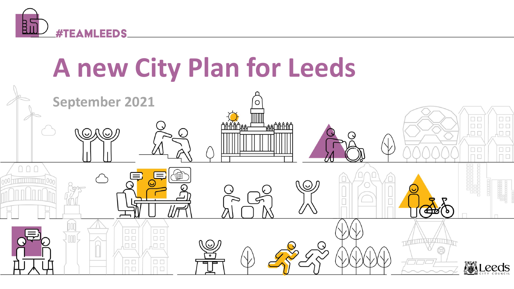

# **A new City Plan for Leeds**

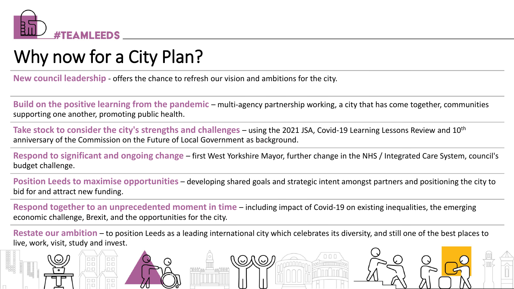

# Why now for a City Plan?

 $\Box$ Box

.a a

**DD** 

.aa

**New council leadership** - offers the chance to refresh our vision and ambitions for the city.

**Build on the positive learning from the pandemic** – multi-agency partnership working, a city that has come together, communities supporting one another, promoting public health.

**Take stock to consider the city's strengths and challenges** – using the 2021 JSA, Covid-19 Learning Lessons Review and 10th anniversary of the Commission on the Future of Local Government as background.

**Respond to significant and ongoing change** – first West Yorkshire Mayor, further change in the NHS / Integrated Care System, council's budget challenge.

**Position Leeds to maximise opportunities** – developing shared goals and strategic intent amongst partners and positioning the city to bid for and attract new funding.

**Respond together to an unprecedented moment in time** – including impact of Covid-19 on existing inequalities, the emerging economic challenge, Brexit, and the opportunities for the city.

**Restate our ambition** – to position Leeds as a leading international city which celebrates its diversity, and still one of the best places to live, work, visit, study and invest.

 $\zeta$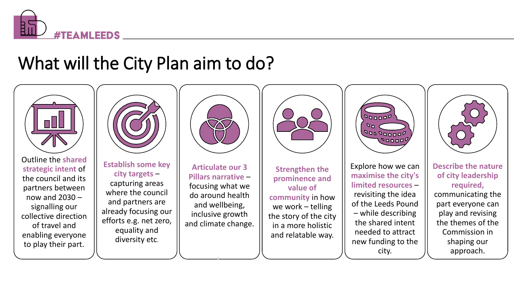

# What will the City Plan aim to do?

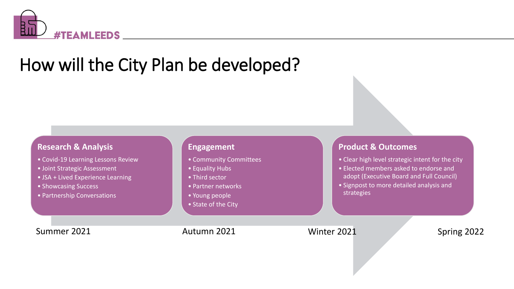

# How will the City Plan be developed?

#### **Research & Analysis**

- Covid-19 Learning Lessons Review
- Joint Strategic Assessment
- JSA + Lived Experience Learning
- Showcasing Success
- Partnership Conversations

#### **Engagement**

- Community Committees
- Equality Hubs
- Third sector
- Partner networks
- Young people
- State of the City

#### **Product & Outcomes**

- Clear high level strategic intent for the city
- Elected members asked to endorse and adopt (Executive Board and Full Council)
- Signpost to more detailed analysis and strategies

Summer 2021 **Autumn 2021** Winter 2021 Spring 2022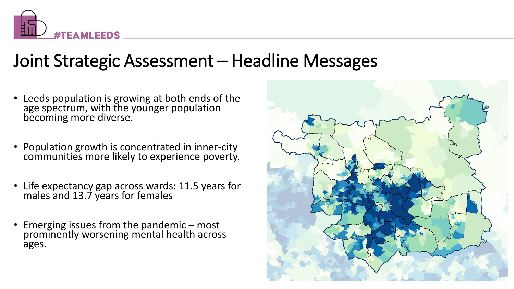

### Joint Strategic Assessment – Headline Messages

- Leeds population is growing at both ends of the age spectrum, with the younger population becoming more diverse.
- Population growth is concentrated in inner-city communities more likely to experience poverty.
- Life expectancy gap across wards: 11.5 years for males and 13.7 years for females
- Emerging issues from the pandemic most prominently worsening mental health across ages.

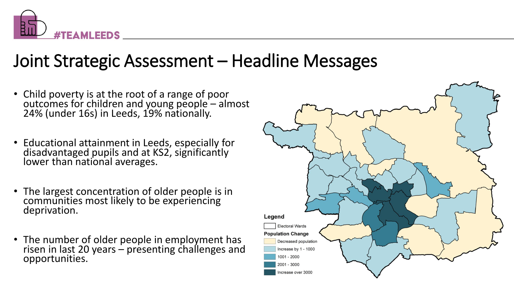

### Joint Strategic Assessment – Headline Messages

- Child poverty is at the root of a range of poor outcomes for children and young people – almost 24% (under 16s) in Leeds, 19% nationally.
- Educational attainment in Leeds, especially for disadvantaged pupils and at KS2, significantly lower than national averages.
- The largest concentration of older people is in communities most likely to be experiencing deprivation.
- The number of older people in employment has risen in last 20 years – presenting challenges and opportunities.

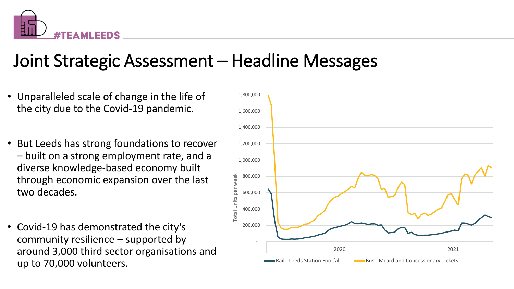

# Joint Strategic Assessment – Headline Messages

- Unparalleled scale of change in the life of the city due to the Covid-19 pandemic.
- But Leeds has strong foundations to recover – built on a strong employment rate, and a diverse knowledge-based economy built through economic expansion over the last two decades.
- Covid-19 has demonstrated the city's community resilience – supported by around 3,000 third sector organisations and up to 70,000 volunteers.